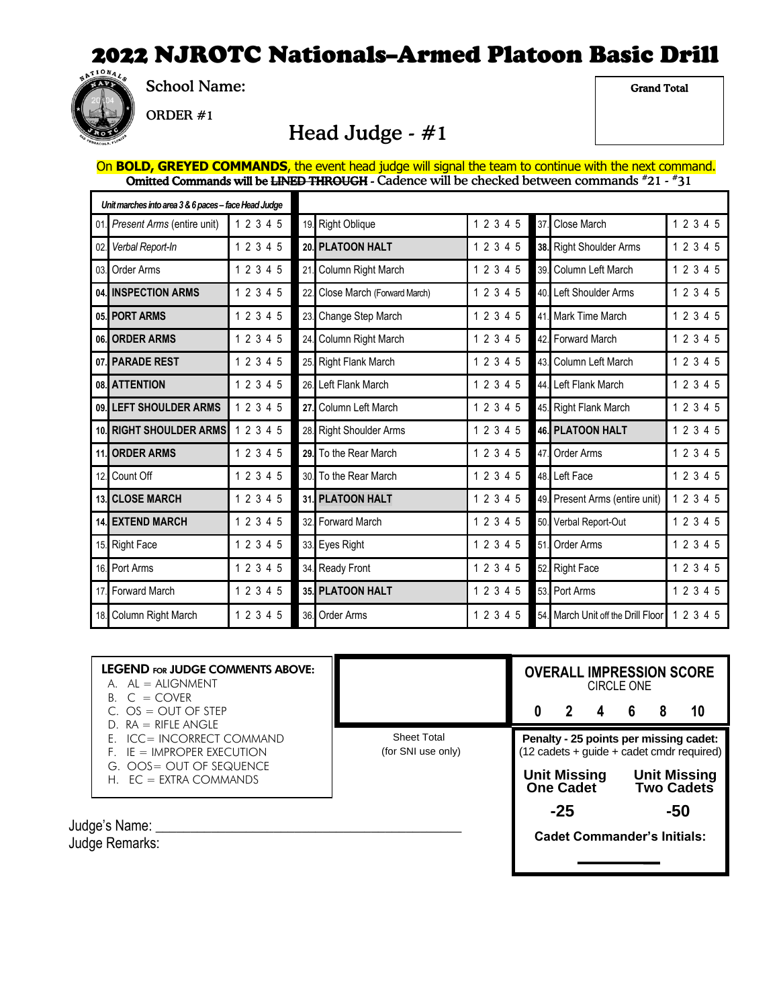

School Name:

Grand Total

ORDER #1

#### Head Judge - #1

On **BOLD, GREYED COMMANDS**, the event head judge will signal the team to continue with the next command. Omitted Commands will be <del>LINED THROUGH</del> - Cadence will be checked between commands #21 - #31

| Unit marches into area 3 & 6 paces - face Head Judge |                                |           |                 |                             |           |     |                                    |           |
|------------------------------------------------------|--------------------------------|-----------|-----------------|-----------------------------|-----------|-----|------------------------------------|-----------|
| 01.                                                  | Present Arms (entire unit)     | 1 2 3 4 5 | 19.             | <b>Right Oblique</b>        | 1 2 3 4 5 | 37. | Close March                        | 1 2 3 4 5 |
| 02.                                                  | Verbal Report-In               | 1 2 3 4 5 | 20.             | <b>PLATOON HALT</b>         | 1 2 3 4 5 |     | 38. Right Shoulder Arms            | 1 2 3 4 5 |
| 03.                                                  | Order Arms                     | 1 2 3 4 5 | 21              | Column Right March          | 1 2 3 4 5 | 39. | Column Left March                  | 1 2 3 4 5 |
| 04.                                                  | <b>INSPECTION ARMS</b>         | 1 2 3 4 5 | 22              | Close March (Forward March) | 1 2 3 4 5 | 40. | Left Shoulder Arms                 | 1 2 3 4 5 |
|                                                      | 05. PORT ARMS                  | 1 2 3 4 5 | 23.             | Change Step March           | 1 2 3 4 5 |     | 41. Mark Time March                | 1 2 3 4 5 |
| 06.                                                  | <b>ORDER ARMS</b>              | 1 2 3 4 5 | 24.             | Column Right March          | 1 2 3 4 5 | 42. | <b>Forward March</b>               | 1 2 3 4 5 |
|                                                      | 07. PARADE REST                | 1 2 3 4 5 | 25.             | <b>Right Flank March</b>    | 1 2 3 4 5 | 43. | Column Left March                  | 1 2 3 4 5 |
| 08.                                                  | <b>ATTENTION</b>               | 1 2 3 4 5 | 26              | Left Flank March            | 1 2 3 4 5 | 44. | Left Flank March                   | 1 2 3 4 5 |
|                                                      | 09. LEFT SHOULDER ARMS         | 1 2 3 4 5 | 27.             | Column Left March           | 1 2 3 4 5 |     | 45. Right Flank March              | 1 2 3 4 5 |
|                                                      | <b>10. RIGHT SHOULDER ARMS</b> | 1 2 3 4 5 | 28.             | <b>Right Shoulder Arms</b>  | 1 2 3 4 5 |     | <b>46. PLATOON HALT</b>            | 1 2 3 4 5 |
| 11.                                                  | <b>ORDER ARMS</b>              | 1 2 3 4 5 | 29.             | To the Rear March           | 1 2 3 4 5 | 47. | Order Arms                         | 1 2 3 4 5 |
| 12.                                                  | Count Off                      | 1 2 3 4 5 | 30 <sup>1</sup> | To the Rear March           | 1 2 3 4 5 |     | 48. Left Face                      | 1 2 3 4 5 |
|                                                      | 13. CLOSE MARCH                | 1 2 3 4 5 |                 | <b>31. PLATOON HALT</b>     | 1 2 3 4 5 |     | 49. Present Arms (entire unit)     | 12345     |
|                                                      | <b>14. EXTEND MARCH</b>        | 1 2 3 4 5 | 32.             | Forward March               | 1 2 3 4 5 | 50. | Verbal Report-Out                  | 1 2 3 4 5 |
|                                                      | 15. Right Face                 | 1 2 3 4 5 |                 | 33. Eyes Right              | 1 2 3 4 5 | 51. | Order Arms                         | 1 2 3 4 5 |
| 16.                                                  | Port Arms                      | 1 2 3 4 5 | 34.             | <b>Ready Front</b>          | 1 2 3 4 5 | 52. | <b>Right Face</b>                  | 1 2 3 4 5 |
| 17.                                                  | <b>Forward March</b>           | 1 2 3 4 5 | 35.             | <b>PLATOON HALT</b>         | 1 2 3 4 5 | 53. | Port Arms                          | 1 2 3 4 5 |
|                                                      | 18. Column Right March         | 1 2 3 4 5 | 36.             | Order Arms                  | 1 2 3 4 5 |     | 54. March Unit off the Drill Floor | 1 2 3 4 5 |

| <b>LEGEND FOR JUDGE COMMENTS ABOVE:</b><br>$A.$ $AL = ALIGNMENT$<br>$B. C = COVER$                                                        |                                          | <b>OVERALL IMPRESSION SCORE</b><br><b>CIRCLE ONE</b>                                                                                                            |                                   |    |
|-------------------------------------------------------------------------------------------------------------------------------------------|------------------------------------------|-----------------------------------------------------------------------------------------------------------------------------------------------------------------|-----------------------------------|----|
| C. $OS = OUT OF STEP$                                                                                                                     |                                          | 2<br>4                                                                                                                                                          | 6                                 | 10 |
| $D. RA = RIFLE ANGLE$<br>E. ICC= INCORRECT COMMAND<br>$F.$ IE = IMPROPER EXECUTION<br>G. OOS= OUT OF SEQUENCE<br>$H.$ EC = EXTRA COMMANDS | <b>Sheet Total</b><br>(for SNI use only) | Penalty - 25 points per missing cadet:<br>$(12 \text{ cadets} + \text{guide} + \text{cadet} \text{ cmdr} \text{ required})$<br><b>Unit Missing</b><br>One Cadet | <b>Unit Missing</b><br>Two Cadets |    |
| Judge's Name:<br>Judge Remarks:                                                                                                           |                                          | $-25$<br><b>Cadet Commander's Initials:</b>                                                                                                                     | -50                               |    |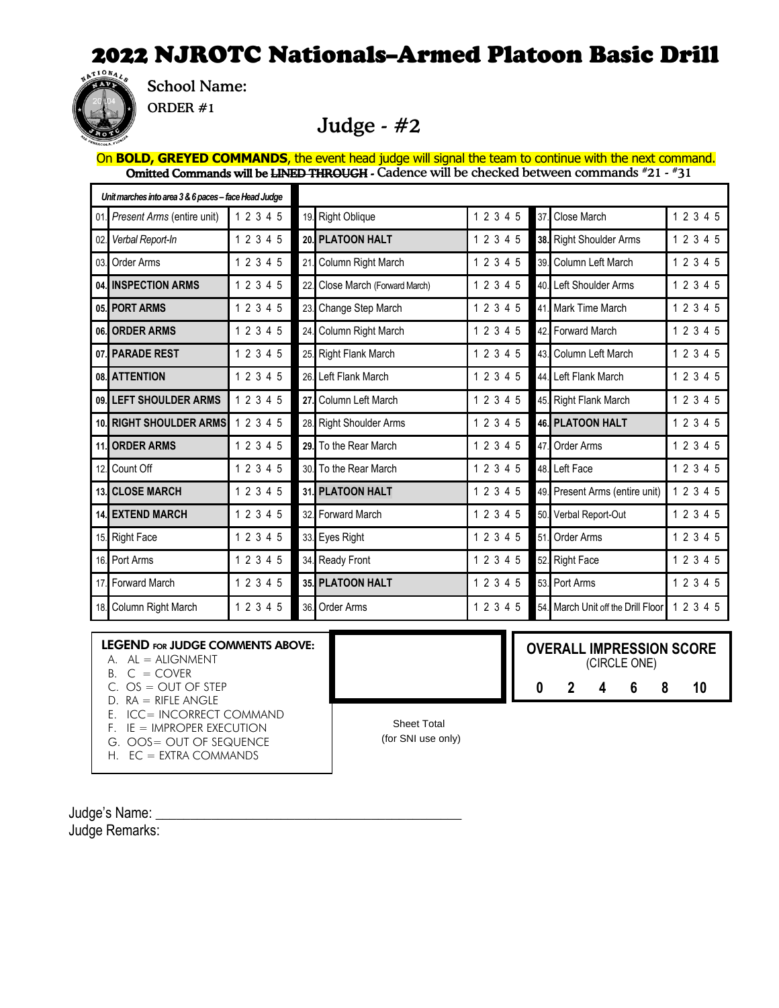

School Name:

ORDER #1

#### Judge - #2

On **BOLD, GREYED COMMANDS**, the event head judge will signal the team to continue with the next command. Omitted Commands will be <del>LINED THROUGH</del> - Cadence will be checked between commands #21 - #31

| Unit marches into area 3 & 6 paces - face Head Judge |                            |           |                 |                             |           |                 |                                |           |
|------------------------------------------------------|----------------------------|-----------|-----------------|-----------------------------|-----------|-----------------|--------------------------------|-----------|
| 01.                                                  | Present Arms (entire unit) | 1 2 3 4 5 |                 | 19. Right Oblique           | 1 2 3 4 5 | 37.             | Close March                    | 1 2 3 4 5 |
| 02.                                                  | Verbal Report-In           | 1 2 3 4 5 |                 | 20. PLATOON HALT            | 1 2 3 4 5 |                 | 38. Right Shoulder Arms        | 12345     |
| 03.                                                  | Order Arms                 | 1 2 3 4 5 | 21              | Column Right March          | 1 2 3 4 5 | 39 <sup>1</sup> | Column Left March              | 12345     |
|                                                      | 04. INSPECTION ARMS        | 1 2 3 4 5 | 22              | Close March (Forward March) | 1 2 3 4 5 |                 | 40. Left Shoulder Arms         | 12345     |
|                                                      | 05. PORT ARMS              | 1 2 3 4 5 | 23.             | Change Step March           | 1 2 3 4 5 | 41              | Mark Time March                | 1 2 3 4 5 |
|                                                      | 06. ORDER ARMS             | 1 2 3 4 5 | 24.             | Column Right March          | 1 2 3 4 5 | 42 <sup>1</sup> | <b>Forward March</b>           | 12345     |
|                                                      | 07. PARADE REST            | 1 2 3 4 5 | 25.             | <b>Right Flank March</b>    | 1 2 3 4 5 | 43.             | Column Left March              | 1 2 3 4 5 |
|                                                      | 08. ATTENTION              | 1 2 3 4 5 | 26.             | Left Flank March            | 1 2 3 4 5 | 44.             | Left Flank March               | 1 2 3 4 5 |
| 09.                                                  | <b>LEFT SHOULDER ARMS</b>  | 1 2 3 4 5 | 27.             | Column Left March           | 1 2 3 4 5 |                 | 45. Right Flank March          | 1 2 3 4 5 |
| 10.                                                  | <b>RIGHT SHOULDER ARMS</b> | 1 2 3 4 5 | 28.             | <b>Right Shoulder Arms</b>  | 1 2 3 4 5 |                 | <b>46. PLATOON HALT</b>        | 1 2 3 4 5 |
| 11.                                                  | <b>ORDER ARMS</b>          | 1 2 3 4 5 | 29.             | To the Rear March           | 1 2 3 4 5 | 47.             | Order Arms                     | 1 2 3 4 5 |
| 12.                                                  | Count Off                  | 1 2 3 4 5 | 30 <sup>°</sup> | To the Rear March           | 1 2 3 4 5 | 48.             | Left Face                      | 1 2 3 4 5 |
|                                                      | <b>13. CLOSE MARCH</b>     | 1 2 3 4 5 |                 | 31. PLATOON HALT            | 1 2 3 4 5 |                 | 49. Present Arms (entire unit) | 1 2 3 4 5 |
| 14.                                                  | <b>EXTEND MARCH</b>        | 1 2 3 4 5 | 32.             | <b>Forward March</b>        | 1 2 3 4 5 | 50.             | Verbal Report-Out              | 1 2 3 4 5 |
| 15.                                                  | <b>Right Face</b>          | 1 2 3 4 5 |                 | 33. Eyes Right              | 1 2 3 4 5 | 51.             | Order Arms                     | 12345     |
| 16.                                                  | Port Arms                  | 1 2 3 4 5 |                 | 34. Ready Front             | 1 2 3 4 5 | 52.             | <b>Right Face</b>              | 12345     |
| 17.                                                  | <b>Forward March</b>       | 1 2 3 4 5 |                 | 35. PLATOON HALT            | 1 2 3 4 5 | 53.             | Port Arms                      | 1 2 3 4 5 |
|                                                      | 18. Column Right March     | 1 2 3 4 5 | 36.             | Order Arms                  | 1 2 3 4 5 | 54.             | March Unit off the Drill Floor | 1 2 3 4 5 |

#### LEGEND FOR JUDGE COMMENTS ABOVE:

- $A.$   $AL = ALIGNMENT$
- $B. C = COVER$
- $C. OS = OUT OF STEP$
- $D. RA = RIFLE ANGLE$
- E. ICC= INCORRECT COMMAND
- F. IE = IMPROPER EXECUTION
- G. OOS= OUT OF SEQUENCE
- H. EC = EXTRA COMMANDS

Sheet Total Score sheet Total Score sheet Total Score sheet Total Score sheet Total Score sheet Total Score sheet Total Score sheet Total Score sheet Total Score sheet Total Score sheet Total Score sheet Total Score sheet (for SNI use only)

 $NEDALI$  IMPPEC

**OVERALL IMPRESSION SCORE**

(CIRCLE ONE) **0 2 4 6 8 10**

rd March

Judge's Name: Judge Remarks: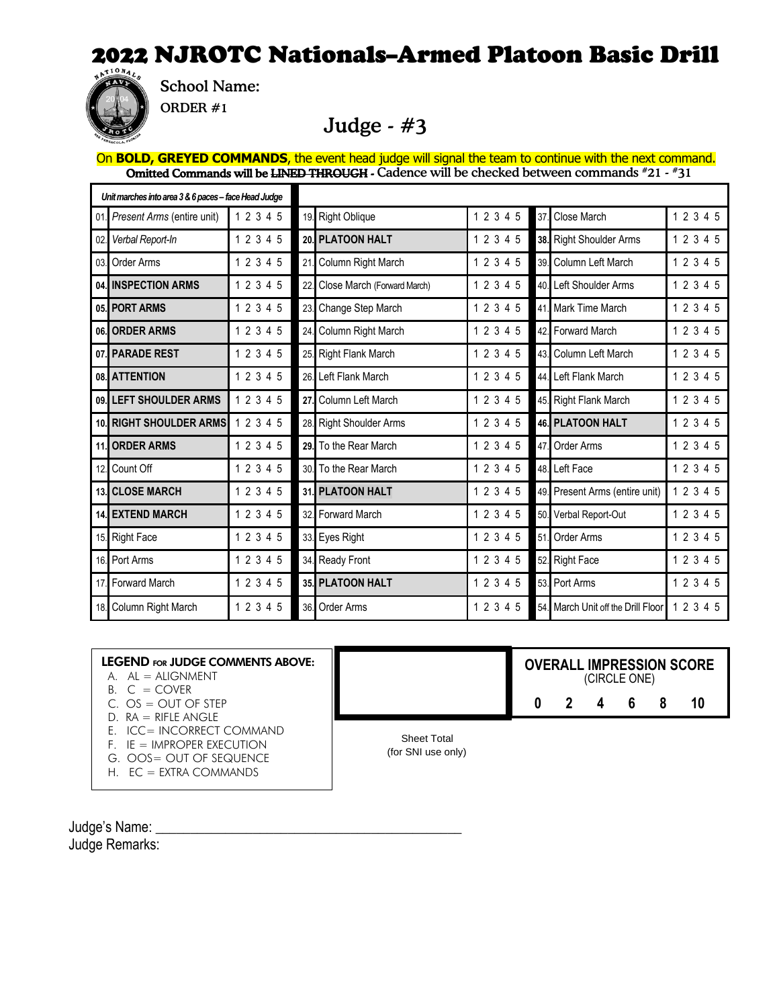

School Name:

ORDER #1

#### Judge - #3

On **BOLD, GREYED COMMANDS**, the event head judge will signal the team to continue with the next command. Omitted Commands will be <del>LINED THROUGH</del> - Cadence will be checked between commands #21 - #31

| Unit marches into area 3 & 6 paces - face Head Judge |                                |           |     |                             |           |                 |                                |           |
|------------------------------------------------------|--------------------------------|-----------|-----|-----------------------------|-----------|-----------------|--------------------------------|-----------|
| 01.                                                  | Present Arms (entire unit)     | 1 2 3 4 5 |     | 19. Right Oblique           | 1 2 3 4 5 | 37.             | Close March                    | 1 2 3 4 5 |
| 02.                                                  | Verbal Report-In               | 1 2 3 4 5 |     | 20. PLATOON HALT            | 1 2 3 4 5 |                 | 38. Right Shoulder Arms        | 12345     |
| 03.                                                  | Order Arms                     | 1 2 3 4 5 | 21  | Column Right March          | 1 2 3 4 5 |                 | 39. Column Left March          | 12345     |
|                                                      | 04. INSPECTION ARMS            | 1 2 3 4 5 | 22. | Close March (Forward March) | 1 2 3 4 5 |                 | 40. Left Shoulder Arms         | 1 2 3 4 5 |
|                                                      | 05. PORT ARMS                  | 1 2 3 4 5 | 23. | Change Step March           | 1 2 3 4 5 |                 | 41. Mark Time March            | 1 2 3 4 5 |
| 06.                                                  | <b>ORDER ARMS</b>              | 1 2 3 4 5 | 24. | Column Right March          | 1 2 3 4 5 |                 | 42. Forward March              | 1 2 3 4 5 |
|                                                      | 07. PARADE REST                | 1 2 3 4 5 | 25. | <b>Right Flank March</b>    | 1 2 3 4 5 | 43              | Column Left March              | 1 2 3 4 5 |
|                                                      | 08. ATTENTION                  | 1 2 3 4 5 | 26. | Left Flank March            | 1 2 3 4 5 | 44.             | Left Flank March               | 1 2 3 4 5 |
|                                                      | 09. LEFT SHOULDER ARMS         | 1 2 3 4 5 | 27. | Column Left March           | 1 2 3 4 5 |                 | 45. Right Flank March          | 12345     |
|                                                      | <b>10. RIGHT SHOULDER ARMS</b> | 1 2 3 4 5 |     | 28. Right Shoulder Arms     | 1 2 3 4 5 |                 | <b>46. PLATOON HALT</b>        | 1 2 3 4 5 |
| 11.                                                  | <b>ORDER ARMS</b>              | 1 2 3 4 5 | 29. | To the Rear March           | 1 2 3 4 5 | 47.             | Order Arms                     | 1 2 3 4 5 |
| 12.                                                  | Count Off                      | 1 2 3 4 5 | 30. | To the Rear March           | 1 2 3 4 5 | 48.             | Left Face                      | 1 2 3 4 5 |
| 13.                                                  | <b>CLOSE MARCH</b>             | 1 2 3 4 5 | 31. | <b>PLATOON HALT</b>         | 1 2 3 4 5 | 49.             | Present Arms (entire unit)     | 1 2 3 4 5 |
| 14.                                                  | <b>EXTEND MARCH</b>            | 1 2 3 4 5 | 32. | <b>Forward March</b>        | 1 2 3 4 5 | 50.             | Verbal Report-Out              | 1 2 3 4 5 |
| 15.                                                  | <b>Right Face</b>              | 1 2 3 4 5 | 33. | Eyes Right                  | 1 2 3 4 5 | 51.             | Order Arms                     | 1 2 3 4 5 |
| 16.                                                  | Port Arms                      | 1 2 3 4 5 | 34. | <b>Ready Front</b>          | 1 2 3 4 5 | 52.             | <b>Right Face</b>              | 1 2 3 4 5 |
| 17                                                   | <b>Forward March</b>           | 1 2 3 4 5 |     | 35. PLATOON HALT            | 1 2 3 4 5 | 53 <sup>1</sup> | Port Arms                      | 1 2 3 4 5 |
| 18.                                                  | Column Right March             | 1 2 3 4 5 | 36. | Order Arms                  | 1 2 3 4 5 | 54.             | March Unit off the Drill Floor | 1 2 3 4 5 |

| <b>LEGEND FOR JUDGE COMMENTS ABOVE:</b><br>$A \quad AI = AI$ IGNMENT                 |                                          |   | (CIRCLE ONE)            |    | <b>OVERALL IMPRESSION SCORE</b> |
|--------------------------------------------------------------------------------------|------------------------------------------|---|-------------------------|----|---------------------------------|
| $B \quad C = \text{CovFR}$<br>C. $OS = OUT OF STEP$<br>$D. RA = RIFLE ANGLE$         |                                          | 2 | $\overline{\mathbf{4}}$ | -6 | 10                              |
| E. ICC= INCORRECT COMMAND<br>$F.$ IE = IMPROPER EXECUTION<br>G. OOS= OUT OF SEQUENCE | <b>Sheet Total</b><br>(for SNI use only) |   |                         |    |                                 |

Judge's Name: Judge Remarks:

H. EC = EXTRA COMMANDS